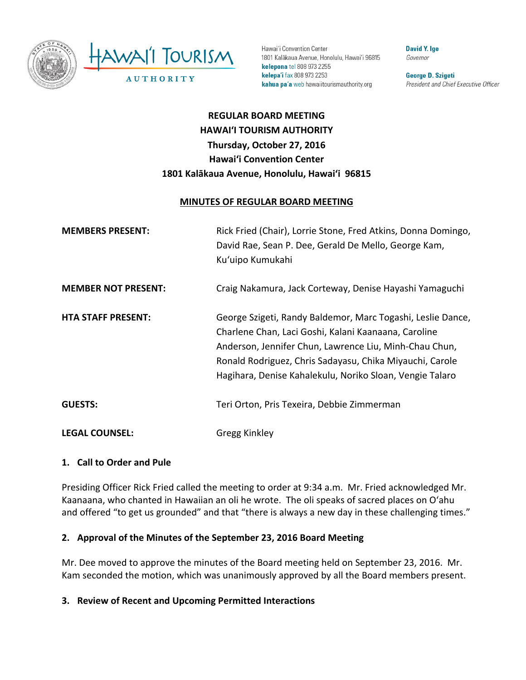

Hawai'i Convention Center 1801 Kalākaua Avenue, Honolulu, Hawai'i 96815 kelepona tel 808 973 2255 kelepa'i fax 808 973 2253 kahua pa'a web hawaiitourismauthority.org

**David Y. Ige** Governor

George D. Szigeti President and Chief Executive Officer

# **REGULAR BOARD MEETING HAWAI'I TOURISM AUTHORITY Thursday, October 27, 2016 Hawai'i Convention Center** 1801 Kalākaua Avenue, Honolulu, Hawai'i 96815

### **MINUTES OF REGULAR BOARD MEETING**

| <b>MEMBERS PRESENT:</b>    | Rick Fried (Chair), Lorrie Stone, Fred Atkins, Donna Domingo,<br>David Rae, Sean P. Dee, Gerald De Mello, George Kam,<br>Ku'uipo Kumukahi                                                                                                                                                             |
|----------------------------|-------------------------------------------------------------------------------------------------------------------------------------------------------------------------------------------------------------------------------------------------------------------------------------------------------|
| <b>MEMBER NOT PRESENT:</b> | Craig Nakamura, Jack Corteway, Denise Hayashi Yamaguchi                                                                                                                                                                                                                                               |
| <b>HTA STAFF PRESENT:</b>  | George Szigeti, Randy Baldemor, Marc Togashi, Leslie Dance,<br>Charlene Chan, Laci Goshi, Kalani Kaanaana, Caroline<br>Anderson, Jennifer Chun, Lawrence Liu, Minh-Chau Chun,<br>Ronald Rodriguez, Chris Sadayasu, Chika Miyauchi, Carole<br>Hagihara, Denise Kahalekulu, Noriko Sloan, Vengie Talaro |
| <b>GUESTS:</b>             | Teri Orton, Pris Texeira, Debbie Zimmerman                                                                                                                                                                                                                                                            |
| <b>LEGAL COUNSEL:</b>      | Gregg Kinkley                                                                                                                                                                                                                                                                                         |

### **1. Call to Order and Pule**

Presiding Officer Rick Fried called the meeting to order at 9:34 a.m. Mr. Fried acknowledged Mr. Kaanaana, who chanted in Hawaiian an oli he wrote. The oli speaks of sacred places on O'ahu and offered "to get us grounded" and that "there is always a new day in these challenging times."

### 2. Approval of the Minutes of the September 23, 2016 Board Meeting

Mr. Dee moved to approve the minutes of the Board meeting held on September 23, 2016. Mr. Kam seconded the motion, which was unanimously approved by all the Board members present.

### **3. Review of Recent and Upcoming Permitted Interactions**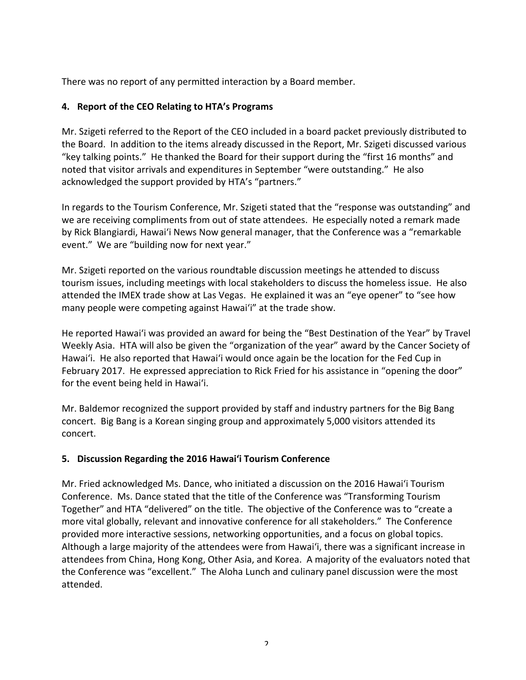There was no report of any permitted interaction by a Board member.

# 4. Report of the CEO Relating to HTA's Programs

Mr. Szigeti referred to the Report of the CEO included in a board packet previously distributed to the Board. In addition to the items already discussed in the Report, Mr. Szigeti discussed various "key talking points." He thanked the Board for their support during the "first 16 months" and noted that visitor arrivals and expenditures in September "were outstanding." He also acknowledged the support provided by HTA's "partners."

In regards to the Tourism Conference, Mr. Szigeti stated that the "response was outstanding" and we are receiving compliments from out of state attendees. He especially noted a remark made by Rick Blangiardi, Hawai'i News Now general manager, that the Conference was a "remarkable event." We are "building now for next year."

Mr. Szigeti reported on the various roundtable discussion meetings he attended to discuss tourism issues, including meetings with local stakeholders to discuss the homeless issue. He also attended the IMEX trade show at Las Vegas. He explained it was an "eye opener" to "see how many people were competing against Hawai'i" at the trade show.

He reported Hawai'i was provided an award for being the "Best Destination of the Year" by Travel Weekly Asia. HTA will also be given the "organization of the year" award by the Cancer Society of Hawai'i. He also reported that Hawai'i would once again be the location for the Fed Cup in February 2017. He expressed appreciation to Rick Fried for his assistance in "opening the door" for the event being held in Hawai'i.

Mr. Baldemor recognized the support provided by staff and industry partners for the Big Bang concert. Big Bang is a Korean singing group and approximately 5,000 visitors attended its concert.

# **5. Discussion Regarding the 2016 Hawai'i Tourism Conference**

Mr. Fried acknowledged Ms. Dance, who initiated a discussion on the 2016 Hawai'i Tourism Conference. Ms. Dance stated that the title of the Conference was "Transforming Tourism Together" and HTA "delivered" on the title. The objective of the Conference was to "create a more vital globally, relevant and innovative conference for all stakeholders." The Conference provided more interactive sessions, networking opportunities, and a focus on global topics. Although a large majority of the attendees were from Hawai'i, there was a significant increase in attendees from China, Hong Kong, Other Asia, and Korea. A majority of the evaluators noted that the Conference was "excellent." The Aloha Lunch and culinary panel discussion were the most attended.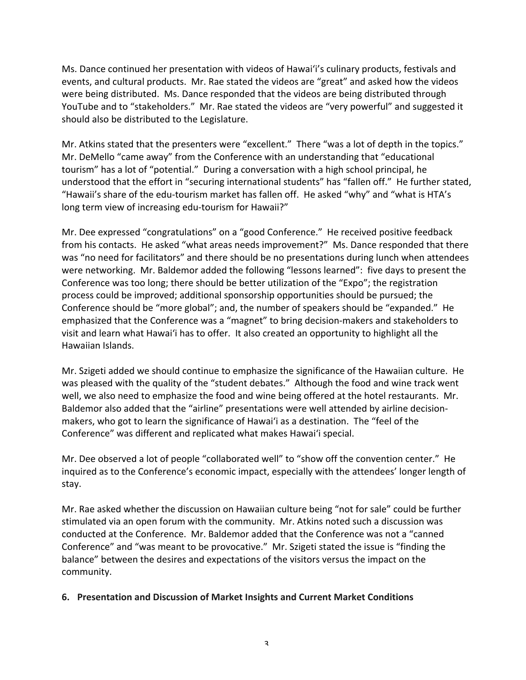Ms. Dance continued her presentation with videos of Hawai'i's culinary products, festivals and events, and cultural products. Mr. Rae stated the videos are "great" and asked how the videos were being distributed. Ms. Dance responded that the videos are being distributed through YouTube and to "stakeholders." Mr. Rae stated the videos are "very powerful" and suggested it should also be distributed to the Legislature.

Mr. Atkins stated that the presenters were "excellent." There "was a lot of depth in the topics." Mr. DeMello "came away" from the Conference with an understanding that "educational tourism" has a lot of "potential." During a conversation with a high school principal, he understood that the effort in "securing international students" has "fallen off." He further stated, "Hawaii's share of the edu-tourism market has fallen off. He asked "why" and "what is HTA's long term view of increasing edu-tourism for Hawaii?"

Mr. Dee expressed "congratulations" on a "good Conference." He received positive feedback from his contacts. He asked "what areas needs improvement?" Ms. Dance responded that there was "no need for facilitators" and there should be no presentations during lunch when attendees were networking. Mr. Baldemor added the following "lessons learned": five days to present the Conference was too long; there should be better utilization of the "Expo"; the registration process could be improved; additional sponsorship opportunities should be pursued; the Conference should be "more global"; and, the number of speakers should be "expanded." He emphasized that the Conference was a "magnet" to bring decision-makers and stakeholders to visit and learn what Hawai'i has to offer. It also created an opportunity to highlight all the Hawaiian Islands.

Mr. Szigeti added we should continue to emphasize the significance of the Hawaiian culture. He was pleased with the quality of the "student debates." Although the food and wine track went well, we also need to emphasize the food and wine being offered at the hotel restaurants. Mr. Baldemor also added that the "airline" presentations were well attended by airline decisionmakers, who got to learn the significance of Hawai'i as a destination. The "feel of the Conference" was different and replicated what makes Hawai'i special.

Mr. Dee observed a lot of people "collaborated well" to "show off the convention center." He inquired as to the Conference's economic impact, especially with the attendees' longer length of stay.

Mr. Rae asked whether the discussion on Hawaiian culture being "not for sale" could be further stimulated via an open forum with the community. Mr. Atkins noted such a discussion was conducted at the Conference. Mr. Baldemor added that the Conference was not a "canned Conference" and "was meant to be provocative." Mr. Szigeti stated the issue is "finding the balance" between the desires and expectations of the visitors versus the impact on the community.

### **6. Presentation and Discussion of Market Insights and Current Market Conditions**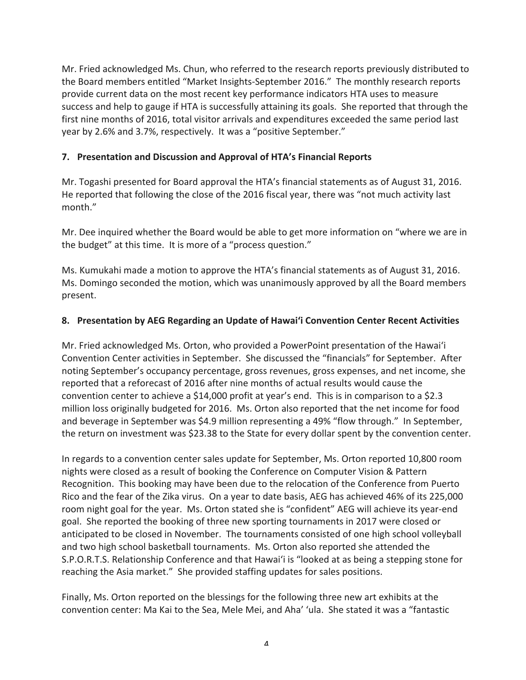Mr. Fried acknowledged Ms. Chun, who referred to the research reports previously distributed to the Board members entitled "Market Insights-September 2016." The monthly research reports provide current data on the most recent key performance indicators HTA uses to measure success and help to gauge if HTA is successfully attaining its goals. She reported that through the first nine months of 2016, total visitor arrivals and expenditures exceeded the same period last year by 2.6% and 3.7%, respectively. It was a "positive September."

## **7. Presentation and Discussion and Approval of HTA's Financial Reports**

Mr. Togashi presented for Board approval the HTA's financial statements as of August 31, 2016. He reported that following the close of the 2016 fiscal year, there was "not much activity last month."

Mr. Dee inquired whether the Board would be able to get more information on "where we are in the budget" at this time. It is more of a "process question."

Ms. Kumukahi made a motion to approve the HTA's financial statements as of August 31, 2016. Ms. Domingo seconded the motion, which was unanimously approved by all the Board members present.

# 8. Presentation by AEG Regarding an Update of Hawai'i Convention Center Recent Activities

Mr. Fried acknowledged Ms. Orton, who provided a PowerPoint presentation of the Hawai'i Convention Center activities in September. She discussed the "financials" for September. After noting September's occupancy percentage, gross revenues, gross expenses, and net income, she reported that a reforecast of 2016 after nine months of actual results would cause the convention center to achieve a \$14,000 profit at year's end. This is in comparison to a \$2.3 million loss originally budgeted for 2016. Ms. Orton also reported that the net income for food and beverage in September was \$4.9 million representing a 49% "flow through." In September, the return on investment was \$23.38 to the State for every dollar spent by the convention center.

In regards to a convention center sales update for September, Ms. Orton reported 10,800 room nights were closed as a result of booking the Conference on Computer Vision & Pattern Recognition. This booking may have been due to the relocation of the Conference from Puerto Rico and the fear of the Zika virus. On a year to date basis, AEG has achieved 46% of its 225,000 room night goal for the year. Ms. Orton stated she is "confident" AEG will achieve its year-end goal. She reported the booking of three new sporting tournaments in 2017 were closed or anticipated to be closed in November. The tournaments consisted of one high school volleyball and two high school basketball tournaments. Ms. Orton also reported she attended the S.P.O.R.T.S. Relationship Conference and that Hawai'i is "looked at as being a stepping stone for reaching the Asia market." She provided staffing updates for sales positions.

Finally, Ms. Orton reported on the blessings for the following three new art exhibits at the convention center: Ma Kai to the Sea, Mele Mei, and Aha' 'ula. She stated it was a "fantastic